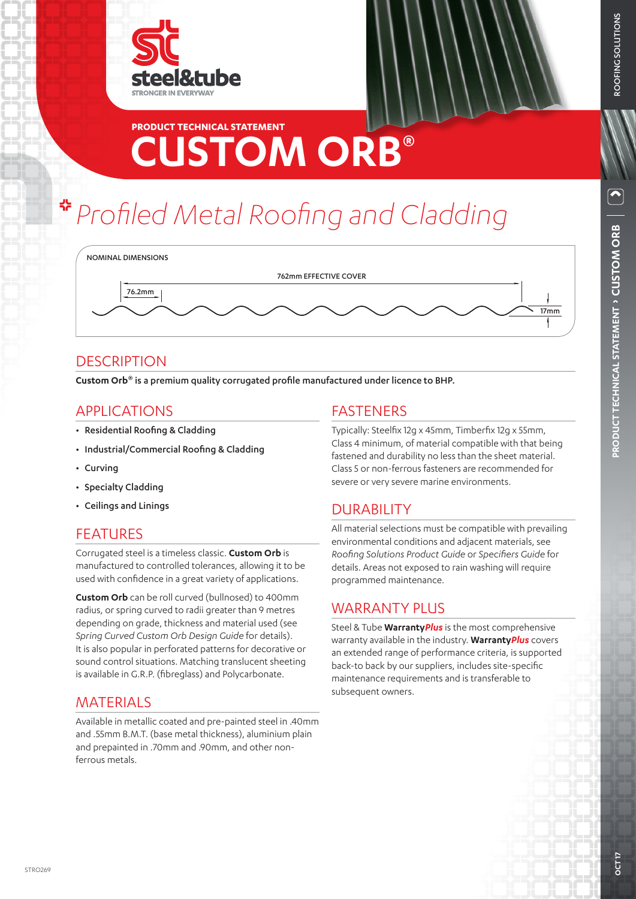

## **CUSTOM ORB® PRODUCT TECHNICAL STATEMENT**

# *Profiled Metal Roofing and Cladding*



### **DESCRIPTION**

**Custom Orb®** is a premium quality corrugated profile manufactured under licence to BHP.

### APPLICATIONS

- Residential Roofing & Cladding
- Industrial/Commercial Roofing & Cladding
- Curving
- Specialty Cladding
- Ceilings and Linings

### **FFATURES**

Corrugated steel is a timeless classic. **Custom Orb** is manufactured to controlled tolerances, allowing it to be used with confidence in a great variety of applications.

**Custom Orb** can be roll curved (bullnosed) to 400mm radius, or spring curved to radii greater than 9 metres depending on grade, thickness and material used (see *Spring Curved Custom Orb Design Guide* for details). It is also popular in perforated patterns for decorative or sound control situations. Matching translucent sheeting is available in G.R.P. (fibreglass) and Polycarbonate.

### MATERIALS

Available in metallic coated and pre-painted steel in .40mm and .55mm B.M.T. (base metal thickness), aluminium plain and prepainted in .70mm and .90mm, and other nonferrous metals.

### FASTENERS

Typically: Steelfix 12g x 45mm, Timberfix 12g x 55mm, Class 4 minimum, of material compatible with that being fastened and durability no less than the sheet material. Class 5 or non-ferrous fasteners are recommended for severe or very severe marine environments.

### DURABILITY

All material selections must be compatible with prevailing environmental conditions and adjacent materials, see *Roofing Solutions Product Guide* or *Specifiers Guide* for details. Areas not exposed to rain washing will require programmed maintenance.

### **WARRANTY PLUS**

Steel & Tube **Warranty***Plus* is the most comprehensive warranty available in the industry. **Warranty***Plus* covers an extended range of performance criteria, is supported back-to back by our suppliers, includes site-specific maintenance requirements and is transferable to subsequent owners.